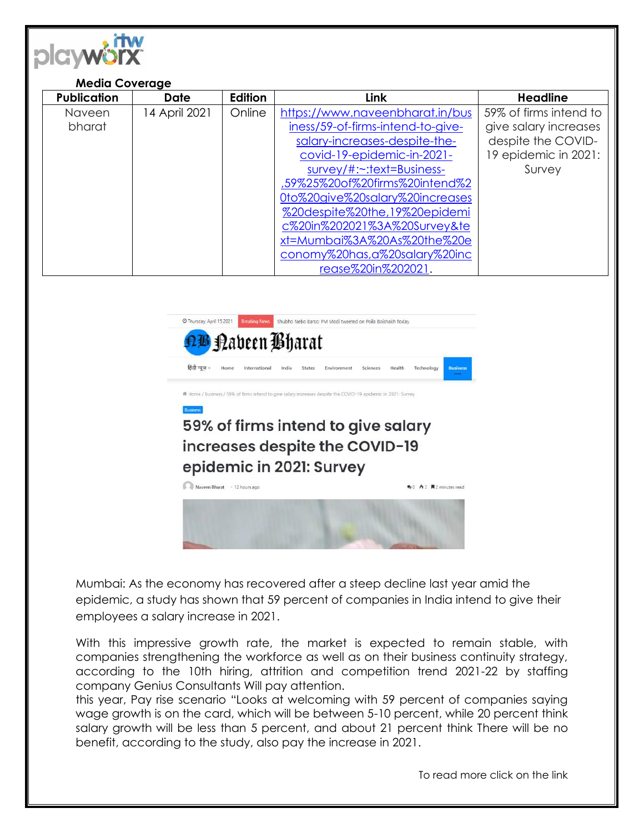

## **Media Coverage Publication Date Edition Link Headline** Naveen

| ,,,,,,,,,,,,,, | ----          | ------ | -----                             | .                      |
|----------------|---------------|--------|-----------------------------------|------------------------|
| Naveen         | 14 April 2021 | Online | https://www.naveenbharat.in/bus   | 59% of firms intend to |
| bharat         |               |        | iness/59-of-firms-intend-to-give- | give salary increases  |
|                |               |        | salary-increases-despite-the-     | despite the COVID-     |
|                |               |        | covid-19-epidemic-in-2021-        | 19 epidemic in 2021:   |
|                |               |        | survey/#:~:text=Business-         | Survey                 |
|                |               |        | ,59%25%20of%20firms%20intend%2    |                        |
|                |               |        | 0to%20give%20salary%20increases   |                        |
|                |               |        | %20despite%20the,19%20epidemi     |                        |
|                |               |        | c%20in%202021%3A%20Survey&te      |                        |
|                |               |        | xt=Mumbai%3A%20As%20the%20e       |                        |
|                |               |        | conomy%20has,a%20salary%20inc     |                        |
|                |               |        | rease%20in%202021.                |                        |



Mumbai: As the economy has recovered after a steep decline last year amid the epidemic, a study has shown that 59 percent of companies in India intend to give their employees a salary increase in 2021.

With this impressive growth rate, the market is expected to remain stable, with companies strengthening the workforce as well as on their business continuity strategy, according to the 10th hiring, attrition and competition trend 2021-22 by staffing company Genius Consultants Will pay attention.

this year, Pay rise scenario "Looks at welcoming with 59 percent of companies saying wage growth is on the card, which will be between 5-10 percent, while 20 percent think salary growth will be less than 5 percent, and about 21 percent think There will be no benefit, according to the study, also pay the increase in 2021.

To read more click on the link